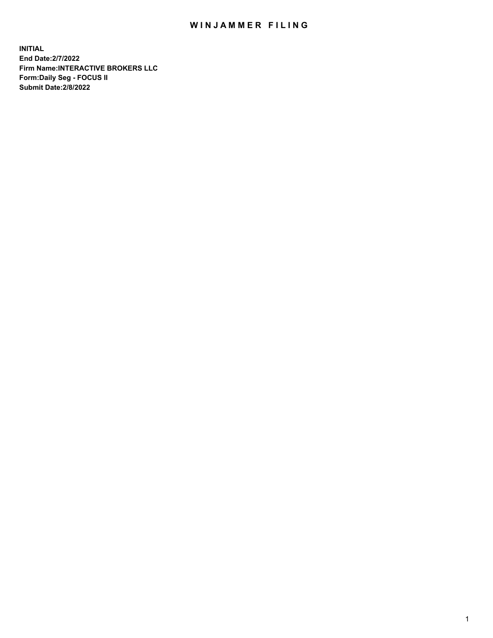## WIN JAMMER FILING

**INITIAL End Date:2/7/2022 Firm Name:INTERACTIVE BROKERS LLC Form:Daily Seg - FOCUS II Submit Date:2/8/2022**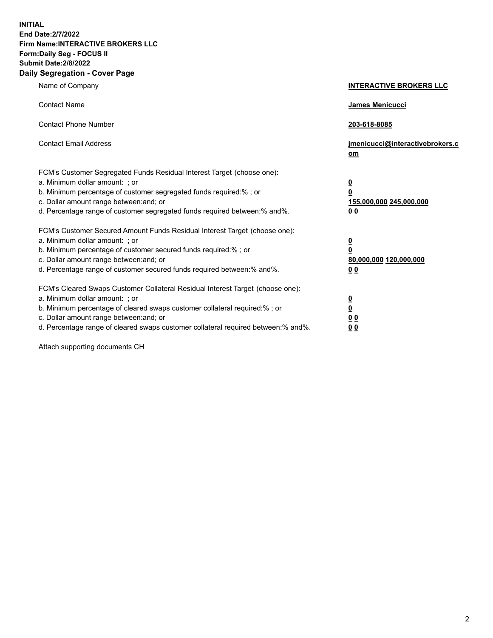**INITIAL End Date:2/7/2022 Firm Name:INTERACTIVE BROKERS LLC Form:Daily Seg - FOCUS II Submit Date:2/8/2022 Daily Segregation - Cover Page**

| Name of Company                                                                                                                                                                                                                                                                                                               | <b>INTERACTIVE BROKERS LLC</b>                                                             |
|-------------------------------------------------------------------------------------------------------------------------------------------------------------------------------------------------------------------------------------------------------------------------------------------------------------------------------|--------------------------------------------------------------------------------------------|
| <b>Contact Name</b>                                                                                                                                                                                                                                                                                                           | <b>James Menicucci</b>                                                                     |
| <b>Contact Phone Number</b>                                                                                                                                                                                                                                                                                                   | 203-618-8085                                                                               |
| <b>Contact Email Address</b>                                                                                                                                                                                                                                                                                                  | jmenicucci@interactivebrokers.c<br>om                                                      |
| FCM's Customer Segregated Funds Residual Interest Target (choose one):<br>a. Minimum dollar amount: ; or<br>b. Minimum percentage of customer segregated funds required:% ; or<br>c. Dollar amount range between: and; or<br>d. Percentage range of customer segregated funds required between:% and%.                        | $\overline{\mathbf{0}}$<br>$\overline{\mathbf{0}}$<br>155,000,000 245,000,000<br><u>00</u> |
| FCM's Customer Secured Amount Funds Residual Interest Target (choose one):<br>a. Minimum dollar amount: ; or<br>b. Minimum percentage of customer secured funds required:% ; or<br>c. Dollar amount range between: and; or<br>d. Percentage range of customer secured funds required between:% and%.                          | $\overline{\mathbf{0}}$<br>$\overline{\mathbf{0}}$<br>80,000,000 120,000,000<br>00         |
| FCM's Cleared Swaps Customer Collateral Residual Interest Target (choose one):<br>a. Minimum dollar amount: ; or<br>b. Minimum percentage of cleared swaps customer collateral required:%; or<br>c. Dollar amount range between: and; or<br>d. Percentage range of cleared swaps customer collateral required between:% and%. | <u>0</u><br><u>0</u><br>0 <sub>0</sub><br>0 <sub>0</sub>                                   |

Attach supporting documents CH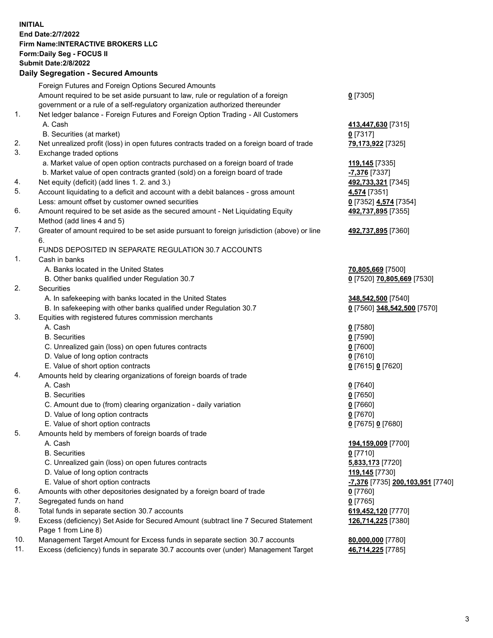**INITIAL End Date:2/7/2022 Firm Name:INTERACTIVE BROKERS LLC Form:Daily Seg - FOCUS II Submit Date:2/8/2022 Daily Segregation - Secured Amounts**

|                | <b>Dany Ocgregation - Occarea Anioanic</b>                                                  |                                         |
|----------------|---------------------------------------------------------------------------------------------|-----------------------------------------|
|                | Foreign Futures and Foreign Options Secured Amounts                                         |                                         |
|                | Amount required to be set aside pursuant to law, rule or regulation of a foreign            | $0$ [7305]                              |
|                | government or a rule of a self-regulatory organization authorized thereunder                |                                         |
| $\mathbf{1}$ . | Net ledger balance - Foreign Futures and Foreign Option Trading - All Customers             |                                         |
|                | A. Cash                                                                                     | 413,447,630 [7315]                      |
|                | B. Securities (at market)                                                                   | $0$ [7317]                              |
| 2.             | Net unrealized profit (loss) in open futures contracts traded on a foreign board of trade   | 79,173,922 [7325]                       |
| 3.             | Exchange traded options                                                                     |                                         |
|                | a. Market value of open option contracts purchased on a foreign board of trade              | 119,145 [7335]                          |
|                | b. Market value of open contracts granted (sold) on a foreign board of trade                | -7,376 [7337]                           |
| 4.             | Net equity (deficit) (add lines 1. 2. and 3.)                                               | 492,733,321 [7345]                      |
| 5.             | Account liquidating to a deficit and account with a debit balances - gross amount           | 4,574 [7351]                            |
|                | Less: amount offset by customer owned securities                                            | 0 [7352] 4,574 [7354]                   |
| 6.             | Amount required to be set aside as the secured amount - Net Liquidating Equity              | 492,737,895 [7355]                      |
|                | Method (add lines 4 and 5)                                                                  |                                         |
| 7.             | Greater of amount required to be set aside pursuant to foreign jurisdiction (above) or line | 492,737,895 [7360]                      |
|                | 6.                                                                                          |                                         |
|                | FUNDS DEPOSITED IN SEPARATE REGULATION 30.7 ACCOUNTS                                        |                                         |
| $\mathbf{1}$ . | Cash in banks                                                                               |                                         |
|                | A. Banks located in the United States                                                       | 70,805,669 [7500]                       |
|                | B. Other banks qualified under Regulation 30.7                                              | 0 [7520] 70,805,669 [7530]              |
| 2.             | Securities                                                                                  |                                         |
|                | A. In safekeeping with banks located in the United States                                   | 348,542,500 [7540]                      |
|                | B. In safekeeping with other banks qualified under Regulation 30.7                          | 0 [7560] 348,542,500 [7570]             |
| 3.             | Equities with registered futures commission merchants                                       |                                         |
|                | A. Cash                                                                                     | $0$ [7580]                              |
|                | <b>B.</b> Securities                                                                        | $0$ [7590]                              |
|                | C. Unrealized gain (loss) on open futures contracts                                         | $0$ [7600]                              |
|                | D. Value of long option contracts                                                           | $0$ [7610]                              |
|                | E. Value of short option contracts                                                          | 0 [7615] 0 [7620]                       |
| 4.             | Amounts held by clearing organizations of foreign boards of trade                           |                                         |
|                | A. Cash                                                                                     | $Q$ [7640]                              |
|                | <b>B.</b> Securities                                                                        | $0$ [7650]                              |
|                | C. Amount due to (from) clearing organization - daily variation                             | $0$ [7660]                              |
|                | D. Value of long option contracts                                                           | $0$ [7670]                              |
| 5.             | E. Value of short option contracts                                                          | 0 [7675] 0 [7680]                       |
|                | Amounts held by members of foreign boards of trade<br>A. Cash                               |                                         |
|                |                                                                                             | 194,159,009 [7700]                      |
|                | <b>B.</b> Securities<br>C. Unrealized gain (loss) on open futures contracts                 | $0$ [7710]                              |
|                |                                                                                             | 5,833,173 [7720]                        |
|                | D. Value of long option contracts<br>E. Value of short option contracts                     | 119,145 [7730]                          |
| 6.             |                                                                                             | <u>-7,376</u> [7735] 200,103,951 [7740] |
| 7.             | Amounts with other depositories designated by a foreign board of trade                      | 0 [7760]                                |
| 8.             | Segregated funds on hand<br>Total funds in separate section 30.7 accounts                   | $0$ [7765]                              |
| 9.             | Excess (deficiency) Set Aside for Secured Amount (subtract line 7 Secured Statement         | 619,452,120 [7770]                      |
|                | Page 1 from Line 8)                                                                         | 126,714,225 [7380]                      |
| 10.            | Management Target Amount for Excess funds in separate section 30.7 accounts                 | 80,000,000 [7780]                       |
| 11.            | Excess (deficiency) funds in separate 30.7 accounts over (under) Management Target          | 46,714,225 [7785]                       |
|                |                                                                                             |                                         |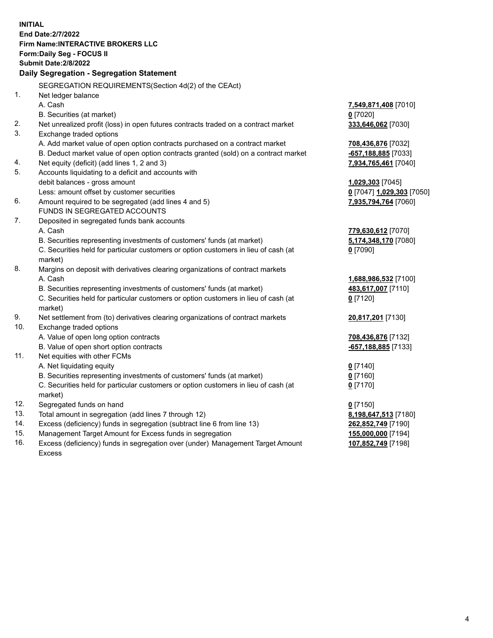**INITIAL End Date:2/7/2022 Firm Name:INTERACTIVE BROKERS LLC Form:Daily Seg - FOCUS II Submit Date:2/8/2022 Daily Segregation - Segregation Statement** SEGREGATION REQUIREMENTS(Section 4d(2) of the CEAct) 1. Net ledger balance A. Cash **7,549,871,408** [7010] B. Securities (at market) **0** [7020] 2. Net unrealized profit (loss) in open futures contracts traded on a contract market **333,646,062** [7030] 3. Exchange traded options A. Add market value of open option contracts purchased on a contract market **708,436,876** [7032] B. Deduct market value of open option contracts granted (sold) on a contract market **-657,188,885** [7033] 4. Net equity (deficit) (add lines 1, 2 and 3) **7,934,765,461** [7040] 5. Accounts liquidating to a deficit and accounts with debit balances - gross amount **1,029,303** [7045] Less: amount offset by customer securities **0** [7047] **1,029,303** [7050] 6. Amount required to be segregated (add lines 4 and 5) **7,935,794,764** [7060] FUNDS IN SEGREGATED ACCOUNTS 7. Deposited in segregated funds bank accounts A. Cash **779,630,612** [7070] B. Securities representing investments of customers' funds (at market) **5,174,348,170** [7080] C. Securities held for particular customers or option customers in lieu of cash (at market) **0** [7090] 8. Margins on deposit with derivatives clearing organizations of contract markets A. Cash **1,688,986,532** [7100] B. Securities representing investments of customers' funds (at market) **483,617,007** [7110] C. Securities held for particular customers or option customers in lieu of cash (at market) **0** [7120] 9. Net settlement from (to) derivatives clearing organizations of contract markets **20,817,201** [7130] 10. Exchange traded options A. Value of open long option contracts **708,436,876** [7132] B. Value of open short option contracts **-657,188,885** [7133] 11. Net equities with other FCMs A. Net liquidating equity **0** [7140] B. Securities representing investments of customers' funds (at market) **0** [7160] C. Securities held for particular customers or option customers in lieu of cash (at market) **0** [7170] 12. Segregated funds on hand **0** [7150] 13. Total amount in segregation (add lines 7 through 12) **8,198,647,513** [7180] 14. Excess (deficiency) funds in segregation (subtract line 6 from line 13) **262,852,749** [7190] 15. Management Target Amount for Excess funds in segregation **155,000,000** [7194] **107,852,749** [7198]

16. Excess (deficiency) funds in segregation over (under) Management Target Amount Excess